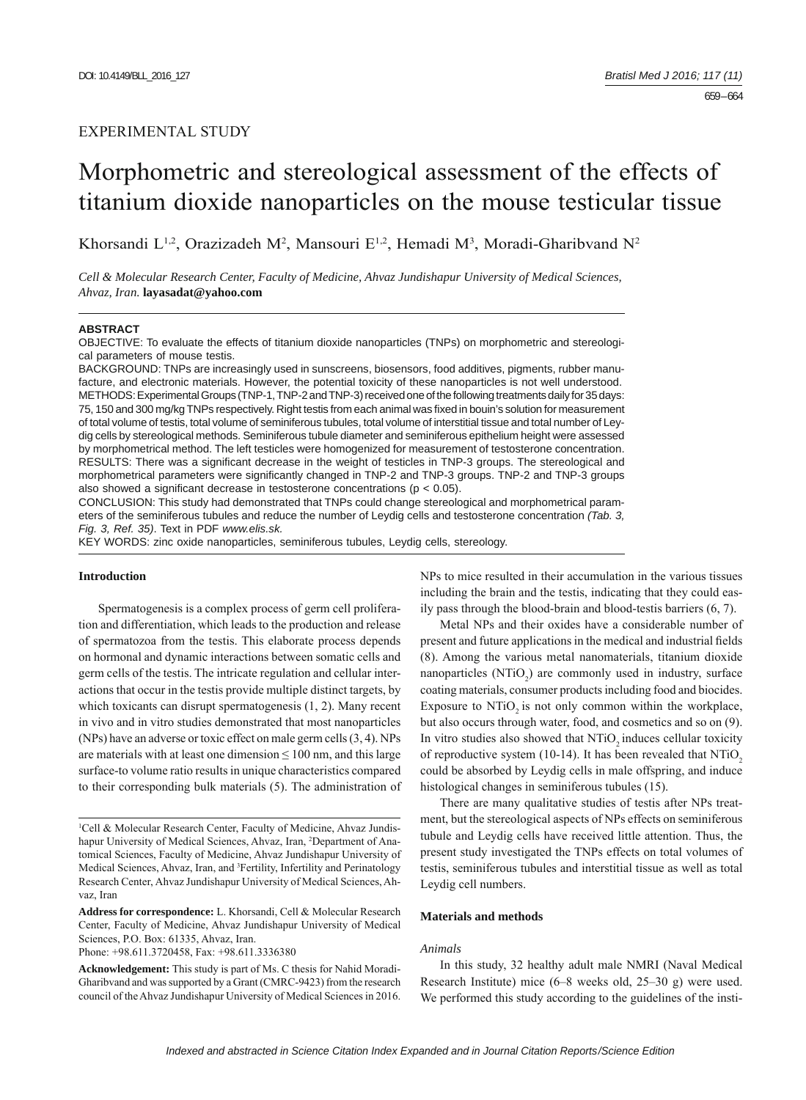# EXPERIMENTAL STUDY

# Morphometric and stereological assessment of the effects of titanium dioxide nanoparticles on the mouse testicular tissue

Khorsandi L<sup>1,2</sup>, Orazizadeh M<sup>2</sup>, Mansouri E<sup>1,2</sup>, Hemadi M<sup>3</sup>, Moradi-Gharibvand N<sup>2</sup>

*Cell & Molecular Research Center, Faculty of Medicine, Ahvaz Jundishapur University of Medical Sciences, Ahvaz, Iran.* **layasadat@yahoo.com**

#### **ABSTRACT**

OBJECTIVE: To evaluate the effects of titanium dioxide nanoparticles (TNPs) on morphometric and stereological parameters of mouse testis.

BACKGROUND: TNPs are increasingly used in sunscreens, biosensors, food additives, pigments, rubber manufacture, and electronic materials. However, the potential toxicity of these nanoparticles is not well understood. METHODS: Experimental Groups (TNP-1, TNP-2 and TNP-3) received one of the following treatments daily for 35 days: 75, 150 and 300 mg/kg TNPs respectively. Right testis from each animal was fixed in bouin's solution for measurement of total volume of testis, total volume of seminiferous tubules, total volume of interstitial tissue and total number of Leydig cells by stereological methods. Seminiferous tubule diameter and seminiferous epithelium height were assessed by morphometrical method. The left testicles were homogenized for measurement of testosterone concentration. RESULTS: There was a significant decrease in the weight of testicles in TNP-3 groups. The stereological and morphometrical parameters were significantly changed in TNP-2 and TNP-3 groups. TNP-2 and TNP-3 groups also showed a significant decrease in testosterone concentrations ( $p < 0.05$ ).

CONCLUSION: This study had demonstrated that TNPs could change stereological and morphometrical parameters of the seminiferous tubules and reduce the number of Leydig cells and testosterone concentration *(Tab. 3, Fig. 3, Ref. 35)*. Text in PDF *www.elis.sk.*

KEY WORDS: zinc oxide nanoparticles, seminiferous tubules, Leydig cells, stereology.

# **Introduction**

Spermatogenesis is a complex process of germ cell proliferation and differentiation, which leads to the production and release of spermatozoa from the testis. This elaborate process depends on hormonal and dynamic interactions between somatic cells and germ cells of the testis. The intricate regulation and cellular interactions that occur in the testis provide multiple distinct targets, by which toxicants can disrupt spermatogenesis (1, 2). Many recent in vivo and in vitro studies demonstrated that most nanoparticles (NPs) have an adverse or toxic effect on male germ cells (3, 4). NPs are materials with at least one dimension  $\leq 100$  nm, and this large surface-to volume ratio results in unique characteristics compared to their corresponding bulk materials (5). The administration of

**Address for correspondence:** L. Khorsandi, Cell & Molecular Research Center, Faculty of Medicine, Ahvaz Jundishapur University of Medical Sciences, P.O. Box: 61335, Ahvaz, Iran.

Phone: +98.611.3720458, Fax: +98.611.3336380

NPs to mice resulted in their accumulation in the various tissues including the brain and the testis, indicating that they could easily pass through the blood-brain and blood-testis barriers (6, 7).

Metal NPs and their oxides have a considerable number of present and future applications in the medical and industrial fields (8). Among the various metal nanomaterials, titanium dioxide nanoparticles  $(NTiO<sub>2</sub>)$  are commonly used in industry, surface coating materials, consumer products including food and biocides. Exposure to  $NTiO<sub>2</sub>$  is not only common within the workplace, but also occurs through water, food, and cosmetics and so on (9). In vitro studies also showed that NTiO<sub>2</sub> induces cellular toxicity of reproductive system (10-14). It has been revealed that  $NTiO<sub>2</sub>$ could be absorbed by Leydig cells in male offspring, and induce histological changes in seminiferous tubules (15).

There are many qualitative studies of testis after NPs treatment, but the stereological aspects of NPs effects on seminiferous tubule and Leydig cells have received little attention. Thus, the present study investigated the TNPs effects on total volumes of testis, seminiferous tubules and interstitial tissue as well as total Leydig cell numbers.

### **Materials and methods**

## *Animals*

In this study, 32 healthy adult male NMRI (Naval Medical Research Institute) mice (6–8 weeks old, 25–30 g) were used. We performed this study according to the guidelines of the insti-

<sup>&</sup>lt;sup>1</sup>Cell & Molecular Research Center, Faculty of Medicine, Ahvaz Jundishapur University of Medical Sciences, Ahvaz, Iran, <sup>2</sup>Department of Anatomical Sciences, Faculty of Medicine, Ahvaz Jundishapur University of Medical Sciences, Ahvaz, Iran, and <sup>3</sup>Fertility, Infertility and Perinatology Research Center, Ahvaz Jundishapur University of Medical Sciences, Ahvaz, Iran

**Acknowledgement:** This study is part of Ms. C thesis for Nahid Moradi-Gharibvand and was supported by a Grant (CMRC-9423) from the research council of the Ahvaz Jundishapur University of Medical Sciences in 2016.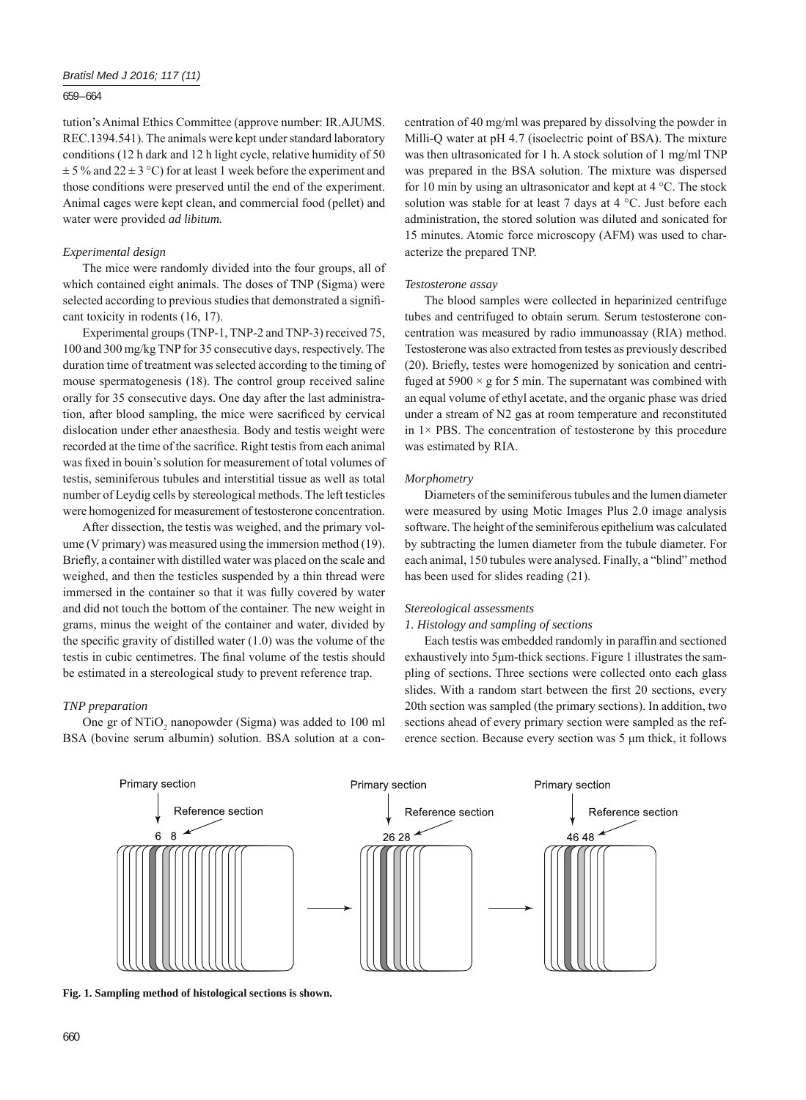## 659 – 664

tution's Animal Ethics Committee (approve number: IR.AJUMS. REC.1394.541). The animals were kept under standard laboratory conditions (12 h dark and 12 h light cycle, relative humidity of 50  $\pm$  5 % and 22  $\pm$  3 °C) for at least 1 week before the experiment and those conditions were preserved until the end of the experiment. Animal cages were kept clean, and commercial food (pellet) and water were provided *ad libitum.*

## *Experimental design*

The mice were randomly divided into the four groups, all of which contained eight animals. The doses of TNP (Sigma) were selected according to previous studies that demonstrated a significant toxicity in rodents (16, 17).

Experimental groups (TNP-1, TNP-2 and TNP-3) received 75, 100 and 300 mg/kg TNP for 35 consecutive days, respectively. The duration time of treatment was selected according to the timing of mouse spermatogenesis (18). The control group received saline orally for 35 consecutive days. One day after the last administration, after blood sampling, the mice were sacrificed by cervical dislocation under ether anaesthesia. Body and testis weight were recorded at the time of the sacrifice. Right testis from each animal was fixed in bouin's solution for measurement of total volumes of testis, seminiferous tubules and interstitial tissue as well as total number of Leydig cells by stereological methods. The left testicles were homogenized for measurement of testosterone concentration.

After dissection, the testis was weighed, and the primary volume (V primary) was measured using the immersion method (19). Briefly, a container with distilled water was placed on the scale and weighed, and then the testicles suspended by a thin thread were immersed in the container so that it was fully covered by water and did not touch the bottom of the container. The new weight in grams, minus the weight of the container and water, divided by the specific gravity of distilled water  $(1.0)$  was the volume of the testis in cubic centimetres. The final volume of the testis should be estimated in a stereological study to prevent reference trap.

### *TNP preparation*

One gr of  $NTiO<sub>2</sub>$  nanopowder (Sigma) was added to 100 ml BSA (bovine serum albumin) solution. BSA solution at a concentration of 40 mg/ml was prepared by dissolving the powder in Milli-Q water at pH 4.7 (isoelectric point of BSA). The mixture was then ultrasonicated for 1 h. A stock solution of 1 mg/ml TNP was prepared in the BSA solution. The mixture was dispersed for 10 min by using an ultrasonicator and kept at 4 °C. The stock solution was stable for at least 7 days at 4 °C. Just before each administration, the stored solution was diluted and sonicated for 15 minutes. Atomic force microscopy (AFM) was used to characterize the prepared TNP.

### *Testosterone assay*

The blood samples were collected in heparinized centrifuge tubes and centrifuged to obtain serum. Serum testosterone concentration was measured by radio immunoassay (RIA) method. Testosterone was also extracted from testes as previously described (20). Briefly, testes were homogenized by sonication and centrifuged at  $5900 \times g$  for 5 min. The supernatant was combined with an equal volume of ethyl acetate, and the organic phase was dried under a stream of N2 gas at room temperature and reconstituted in  $1 \times$  PBS. The concentration of testosterone by this procedure was estimated by RIA.

### *Morphometry*

Diameters of the seminiferous tubules and the lumen diameter were measured by using Motic Images Plus 2.0 image analysis software. The height of the seminiferous epithelium was calculated by subtracting the lumen diameter from the tubule diameter. For each animal, 150 tubules were analysed. Finally, a "blind" method has been used for slides reading (21).

## *Stereological assessments*

# *1. Histology and sampling of sections*

Each testis was embedded randomly in paraffin and sectioned exhaustively into 5μm-thick sections. Figure 1 illustrates the sampling of sections. Three sections were collected onto each glass slides. With a random start between the first 20 sections, every 20th section was sampled (the primary sections). In addition, two sections ahead of every primary section were sampled as the reference section. Because every section was 5 μm thick, it follows



**Fig. 1. Sampling method of histological sections is shown.**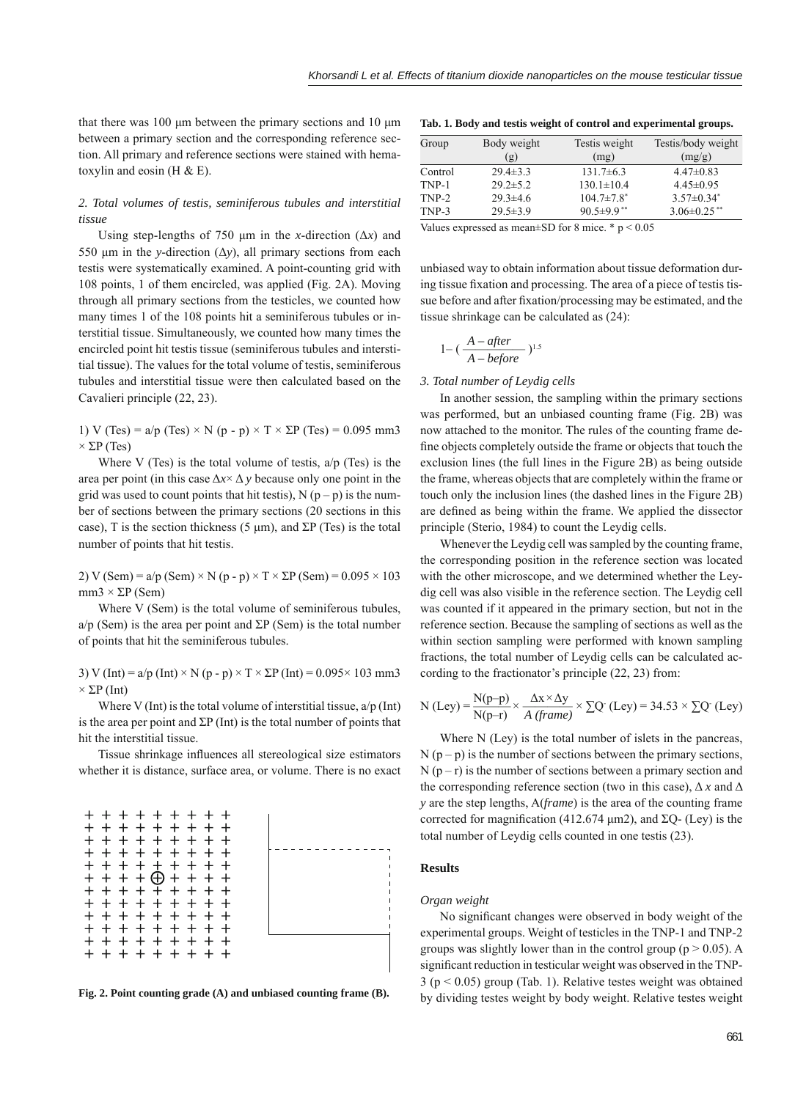that there was 100 μm between the primary sections and 10 μm between a primary section and the corresponding reference section. All primary and reference sections were stained with hematoxylin and eosin ( $H & E$ ).

# *2. Total volumes of testis, seminiferous tubules and interstitial tissue*

Using step-lengths of 750  $\mu$ m in the *x*-direction ( $\Delta x$ ) and 550 μm in the *y*-direction (Δ*y*), all primary sections from each testis were systematically examined. A point-counting grid with 108 points, 1 of them encircled, was applied (Fig. 2A). Moving through all primary sections from the testicles, we counted how many times 1 of the 108 points hit a seminiferous tubules or interstitial tissue. Simultaneously, we counted how many times the encircled point hit testis tissue (seminiferous tubules and interstitial tissue). The values for the total volume of testis, seminiferous tubules and interstitial tissue were then calculated based on the Cavalieri principle (22, 23).

1) V (Tes) =  $a/p$  (Tes) × N (p - p) × T ×  $\Sigma P$  (Tes) = 0.095 mm3  $\times$  ΣP (Tes)

Where V (Tes) is the total volume of testis,  $a/p$  (Tes) is the area per point (in this case  $\Delta x \times \Delta y$  because only one point in the grid was used to count points that hit testis),  $N(p - p)$  is the number of sections between the primary sections (20 sections in this case), T is the section thickness (5  $\mu$ m), and  $\Sigma$ P (Tes) is the total number of points that hit testis.

2) V (Sem) =  $a/p$  (Sem) × N (p - p) × T ×  $\Sigma P$  (Sem) = 0.095 × 103 mm3  $\times$  ΣP (Sem)

Where V (Sem) is the total volume of seminiferous tubules,  $a/p$  (Sem) is the area per point and  $\Sigma P$  (Sem) is the total number of points that hit the seminiferous tubules.

3) V (Int) =  $a/p$  (Int)  $\times$  N (p - p)  $\times$  T  $\times$   $\Sigma$ P (Int) = 0.095 $\times$  103 mm3  $\times$  ΣP (Int)

Where V (Int) is the total volume of interstitial tissue,  $a/p$  (Int) is the area per point and  $\Sigma P$  (Int) is the total number of points that hit the interstitial tissue.

Tissue shrinkage influences all stereological size estimators whether it is distance, surface area, or volume. There is no exact



| Tab. 1. Body and testis weight of control and experimental groups. |  |  |
|--------------------------------------------------------------------|--|--|
|                                                                    |  |  |

| Group   | Body weight    | Testis weight                | Testis/body weight |
|---------|----------------|------------------------------|--------------------|
|         | (g)            | (mg)                         | (mg/g)             |
| Control | $29.4 \pm 3.3$ | $131.7\pm 6.3$               | $4.47\pm0.83$      |
| TNP-1   | $29.2 \pm 5.2$ | $130.1 \pm 10.4$             | $4.45 \pm 0.95$    |
| TNP-2   | $29.3 \pm 4.6$ | $104.7 \pm 7.8$ <sup>*</sup> | $3.57 \pm 0.34^*$  |
| TNP-3   | $29.5 \pm 3.9$ | $90.5 \pm 9.9$ <sup>**</sup> | $3.06 \pm 0.25$ ** |

Values expressed as mean $\pm$ SD for 8 mice. \* p < 0.05

unbiased way to obtain information about tissue deformation during tissue fixation and processing. The area of a piece of testis tissue before and after fixation/processing may be estimated, and the tissue shrinkage can be calculated as (24):

$$
1 - (\frac{A - after}{A - before})^{1.5}
$$

## *3. Total number of Leydig cells*

In another session, the sampling within the primary sections was performed, but an unbiased counting frame (Fig. 2B) was now attached to the monitor. The rules of the counting frame define objects completely outside the frame or objects that touch the exclusion lines (the full lines in the Figure 2B) as being outside the frame, whereas objects that are completely within the frame or touch only the inclusion lines (the dashed lines in the Figure 2B) are defined as being within the frame. We applied the dissector principle (Sterio, 1984) to count the Leydig cells.

Whenever the Leydig cell was sampled by the counting frame, the corresponding position in the reference section was located with the other microscope, and we determined whether the Leydig cell was also visible in the reference section. The Leydig cell was counted if it appeared in the primary section, but not in the reference section. Because the sampling of sections as well as the within section sampling were performed with known sampling fractions, the total number of Leydig cells can be calculated according to the fractionator's principle (22, 23) from:

N (Ley) = 
$$
\frac{N(p-p)}{N(p-r)} \times \frac{\Delta x \times \Delta y}{A \ (frame)} \times \Sigma Q
$$
 (Ley) = 34.53 ×  $\Sigma Q$  (Ley)

Where N (Ley) is the total number of islets in the pancreas,  $N(p - p)$  is the number of sections between the primary sections,  $N(p - r)$  is the number of sections between a primary section and the corresponding reference section (two in this case),  $\Delta x$  and  $\Delta$ *y* are the step lengths, A(*frame*) is the area of the counting frame corrected for magnification (412.674 μm2), and  $\Sigma$ Q- (Ley) is the total number of Leydig cells counted in one testis (23).

## **Results**

#### *Organ weight*

No significant changes were observed in body weight of the experimental groups. Weight of testicles in the TNP-1 and TNP-2 groups was slightly lower than in the control group ( $p > 0.05$ ). A significant reduction in testicular weight was observed in the TNP-3 (p < 0.05) group (Tab. 1). Relative testes weight was obtained Fig. 2. Point counting grade (A) and unbiased counting frame (B). by dividing testes weight by body weight. Relative testes weight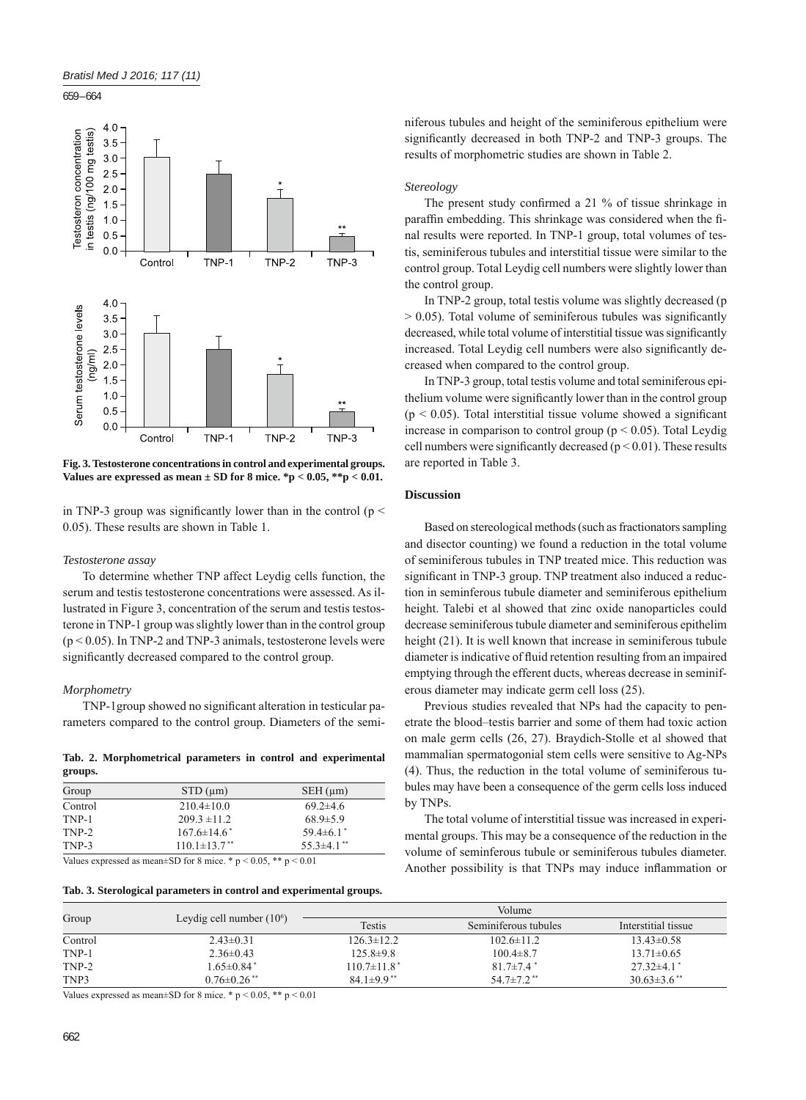

**Fig. 3. Testosterone concentrations in control and experimental groups. Values are expressed as mean ± SD for 8 mice. \*p < 0.05, \*\*p < 0.01.**

in TNP-3 group was significantly lower than in the control ( $p \le$ 0.05). These results are shown in Table 1.

## *Testosterone assay*

To determine whether TNP affect Leydig cells function, the serum and testis testosterone concentrations were assessed. As illustrated in Figure 3, concentration of the serum and testis testosterone in TNP-1 group was slightly lower than in the control group  $(p < 0.05)$ . In TNP-2 and TNP-3 animals, testosterone levels were significantly decreased compared to the control group.

#### *Morphometry*

TNP-1group showed no significant alteration in testicular parameters compared to the control group. Diameters of the semi-

**Tab. 2. Morphometrical parameters in control and experimental groups.**

| Group   | $STD$ ( $\mu$ m)               | $SEH$ ( $\mu$ m)  |
|---------|--------------------------------|-------------------|
| Control | $210.4 \pm 10.0$               | $69.2 \pm 4.6$    |
| TNP-1   | $209.3 \pm 11.2$               | $68.9 \pm 5.9$    |
| TNP-2   | $167.6 \pm 14.6^*$             | $59.4\pm 6.1$     |
| TNP-3   | $110.1 \pm 13.7$ <sup>**</sup> | $55.3 \pm 4.1$ ** |
|         |                                |                   |

Values expressed as mean $\pm$ SD for 8 mice. \* p < 0.05, \*\* p < 0.01

**Tab. 3. Sterological parameters in control and experimental groups.**

niferous tubules and height of the seminiferous epithelium were significantly decreased in both TNP-2 and TNP-3 groups. The results of morphometric studies are shown in Table 2.

# *Stereology*

The present study confirmed a  $21\%$  of tissue shrinkage in paraffin embedding. This shrinkage was considered when the final results were reported. In TNP-1 group, total volumes of testis, seminiferous tubules and interstitial tissue were similar to the control group. Total Leydig cell numbers were slightly lower than the control group.

In TNP-2 group, total testis volume was slightly decreased (p  $> 0.05$ ). Total volume of seminiferous tubules was significantly decreased, while total volume of interstitial tissue was significantly increased. Total Leydig cell numbers were also significantly decreased when compared to the control group.

In TNP-3 group, total testis volume and total seminiferous epithelium volume were significantly lower than in the control group  $(p < 0.05)$ . Total interstitial tissue volume showed a significant increase in comparison to control group ( $p < 0.05$ ). Total Leydig cell numbers were significantly decreased ( $p < 0.01$ ). These results are reported in Table 3.

## **Discussion**

Based on stereological methods (such as fractionators sampling and disector counting) we found a reduction in the total volume of seminiferous tubules in TNP treated mice. This reduction was significant in TNP-3 group. TNP treatment also induced a reduction in seminferous tubule diameter and seminiferous epithelium height. Talebi et al showed that zinc oxide nanoparticles could decrease seminiferous tubule diameter and seminiferous epithelim height (21). It is well known that increase in seminiferous tubule diameter is indicative of fluid retention resulting from an impaired emptying through the efferent ducts, whereas decrease in seminiferous diameter may indicate germ cell loss (25).

Previous studies revealed that NPs had the capacity to penetrate the blood–testis barrier and some of them had toxic action on male germ cells (26, 27). Braydich-Stolle et al showed that mammalian spermatogonial stem cells were sensitive to Ag-NPs (4). Thus, the reduction in the total volume of seminiferous tubules may have been a consequence of the germ cells loss induced by TNPs.

The total volume of interstitial tissue was increased in experimental groups. This may be a consequence of the reduction in the volume of seminferous tubule or seminiferous tubules diameter. Another possibility is that TNPs may induce inflammation or

| Group   |                               | <b>Volume</b>              |                              |                             |  |
|---------|-------------------------------|----------------------------|------------------------------|-----------------------------|--|
|         | Leydig cell number $(10^6)$   | <b>Testis</b>              | Seminiferous tubules         | Interstitial tissue         |  |
| Control | $2.43\pm0.31$                 | $126.3 \pm 12.2$           | $102.6 \pm 11.2$             | $13.43\pm0.58$              |  |
| TNP-1   | $2.36\pm0.43$                 | $125.8\pm9.8$              | $100.4 \pm 8.7$              | $13.71 \pm 0.65$            |  |
| TNP-2   | $1.65 \pm 0.84$ <sup>*</sup>  | $110.7\pm11.8*$            | $81.7 \pm 7.4$               | $27.32 \pm 4.1$             |  |
| TNP3    | $0.76 \pm 0.26$ <sup>**</sup> | $84.1\pm9.9$ <sup>**</sup> | 54.7 $\pm$ 7.2 <sup>**</sup> | $30.63\pm3.6$ <sup>**</sup> |  |

Values expressed as mean $\pm$ SD for 8 mice. \* p < 0.05, \*\* p < 0.01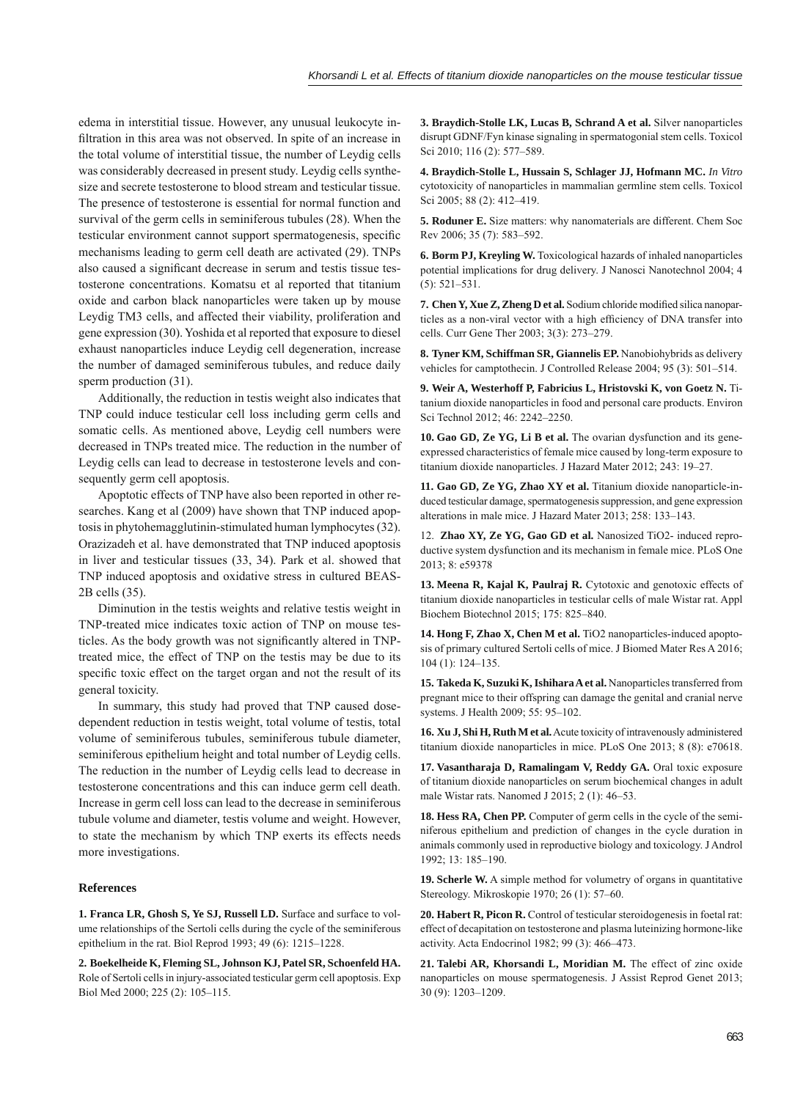edema in interstitial tissue. However, any unusual leukocyte infiltration in this area was not observed. In spite of an increase in the total volume of interstitial tissue, the number of Leydig cells was considerably decreased in present study. Leydig cells synthesize and secrete testosterone to blood stream and testicular tissue. The presence of testosterone is essential for normal function and survival of the germ cells in seminiferous tubules (28). When the testicular environment cannot support spermatogenesis, specific mechanisms leading to germ cell death are activated (29). TNPs also caused a significant decrease in serum and testis tissue testosterone concentrations. Komatsu et al reported that titanium oxide and carbon black nanoparticles were taken up by mouse Leydig TM3 cells, and affected their viability, proliferation and gene expression (30). Yoshida et al reported that exposure to diesel exhaust nanoparticles induce Leydig cell degeneration, increase the number of damaged seminiferous tubules, and reduce daily sperm production (31).

Additionally, the reduction in testis weight also indicates that TNP could induce testicular cell loss including germ cells and somatic cells. As mentioned above, Leydig cell numbers were decreased in TNPs treated mice. The reduction in the number of Leydig cells can lead to decrease in testosterone levels and consequently germ cell apoptosis.

Apoptotic effects of TNP have also been reported in other researches. Kang et al (2009) have shown that TNP induced apoptosis in phytohemagglutinin-stimulated human lymphocytes (32). Orazizadeh et al. have demonstrated that TNP induced apoptosis in liver and testicular tissues (33, 34). Park et al. showed that TNP induced apoptosis and oxidative stress in cultured BEAS-2B cells (35).

Diminution in the testis weights and relative testis weight in TNP-treated mice indicates toxic action of TNP on mouse testicles. As the body growth was not significantly altered in TNPtreated mice, the effect of TNP on the testis may be due to its specific toxic effect on the target organ and not the result of its general toxicity.

In summary, this study had proved that TNP caused dosedependent reduction in testis weight, total volume of testis, total volume of seminiferous tubules, seminiferous tubule diameter, seminiferous epithelium height and total number of Leydig cells. The reduction in the number of Leydig cells lead to decrease in testosterone concentrations and this can induce germ cell death. Increase in germ cell loss can lead to the decrease in seminiferous tubule volume and diameter, testis volume and weight. However, to state the mechanism by which TNP exerts its effects needs more investigations.

# **References**

**1. Franca LR, Ghosh S, Ye SJ, Russell LD.** Surface and surface to volume relationships of the Sertoli cells during the cycle of the seminiferous epithelium in the rat. Biol Reprod 1993; 49 (6): 1215–1228.

**2. Boekelheide K, Fleming SL, Johnson KJ, Patel SR, Schoenfeld HA.** Role of Sertoli cells in injury-associated testicular germ cell apoptosis. Exp Biol Med 2000; 225 (2): 105–115.

**3. Braydich-Stolle LK, Lucas B, Schrand A et al.** Silver nanoparticles disrupt GDNF/Fyn kinase signaling in spermatogonial stem cells. Toxicol Sci 2010; 116 (2): 577–589.

**4. Braydich-Stolle L, Hussain S, Schlager JJ, Hofmann MC.** *In Vitro*  cytotoxicity of nanoparticles in mammalian germline stem cells. Toxicol Sci 2005; 88 (2): 412–419.

**5. Roduner E.** Size matters: why nanomaterials are different. Chem Soc Rev 2006; 35 (7): 583–592.

**6. Borm PJ, Kreyling W.** Toxicological hazards of inhaled nanoparticles potential implications for drug delivery. J Nanosci Nanotechnol 2004; 4 (5): 521–531.

**7. Chen Y, Xue Z, Zheng D et al.** Sodium chloride modified silica nanoparticles as a non-viral vector with a high efficiency of DNA transfer into cells. Curr Gene Ther 2003; 3(3): 273–279.

**8. Tyner KM, Schiffman SR, Giannelis EP.** Nanobiohybrids as delivery vehicles for camptothecin. J Controlled Release 2004; 95 (3): 501–514.

**9. Weir A, Westerhoff P, Fabricius L, Hristovski K, von Goetz N.** Titanium dioxide nanoparticles in food and personal care products. Environ Sci Technol 2012; 46: 2242–2250.

**10. Gao GD, Ze YG, Li B et al.** The ovarian dysfunction and its geneexpressed characteristics of female mice caused by long-term exposure to titanium dioxide nanoparticles. J Hazard Mater 2012; 243: 19–27.

**11. Gao GD, Ze YG, Zhao XY et al.** Titanium dioxide nanoparticle-induced testicular damage, spermatogenesis suppression, and gene expression alterations in male mice. J Hazard Mater 2013; 258: 133–143.

12. **Zhao XY, Ze YG, Gao GD et al.** Nanosized TiO2- induced reproductive system dysfunction and its mechanism in female mice. PLoS One 2013; 8: e59378

**13. Meena R, Kajal K, Paulraj R.** Cytotoxic and genotoxic effects of titanium dioxide nanoparticles in testicular cells of male Wistar rat. Appl Biochem Biotechnol 2015; 175: 825–840.

**14. Hong F, Zhao X, Chen M et al.** TiO2 nanoparticles-induced apoptosis of primary cultured Sertoli cells of mice. J Biomed Mater Res A 2016; 104 (1): 124–135.

**15. Takeda K, Suzuki K, Ishihara A et al.** Nanoparticles transferred from pregnant mice to their offspring can damage the genital and cranial nerve systems. J Health 2009; 55: 95–102.

**16. Xu J, Shi H, Ruth M et al.** Acute toxicity of intravenously administered titanium dioxide nanoparticles in mice. PLoS One 2013; 8 (8): e70618.

**17. Vasantharaja D, Ramalingam V, Reddy GA.** Oral toxic exposure of titanium dioxide nanoparticles on serum biochemical changes in adult male Wistar rats. Nanomed J 2015; 2 (1): 46–53.

**18. Hess RA, Chen PP.** Computer of germ cells in the cycle of the seminiferous epithelium and prediction of changes in the cycle duration in animals commonly used in reproductive biology and toxicology. J Androl 1992; 13: 185–190.

**19. Scherle W.** A simple method for volumetry of organs in quantitative Stereology. Mikroskopie 1970; 26 (1): 57–60.

**20. Habert R, Picon R.** Control of testicular steroidogenesis in foetal rat: effect of decapitation on testosterone and plasma luteinizing hormone-like activity. Acta Endocrinol 1982; 99 (3): 466–473.

**21. Talebi AR, Khorsandi L, Moridian M.** The effect of zinc oxide nanoparticles on mouse spermatogenesis. J Assist Reprod Genet 2013; 30 (9): 1203–1209.